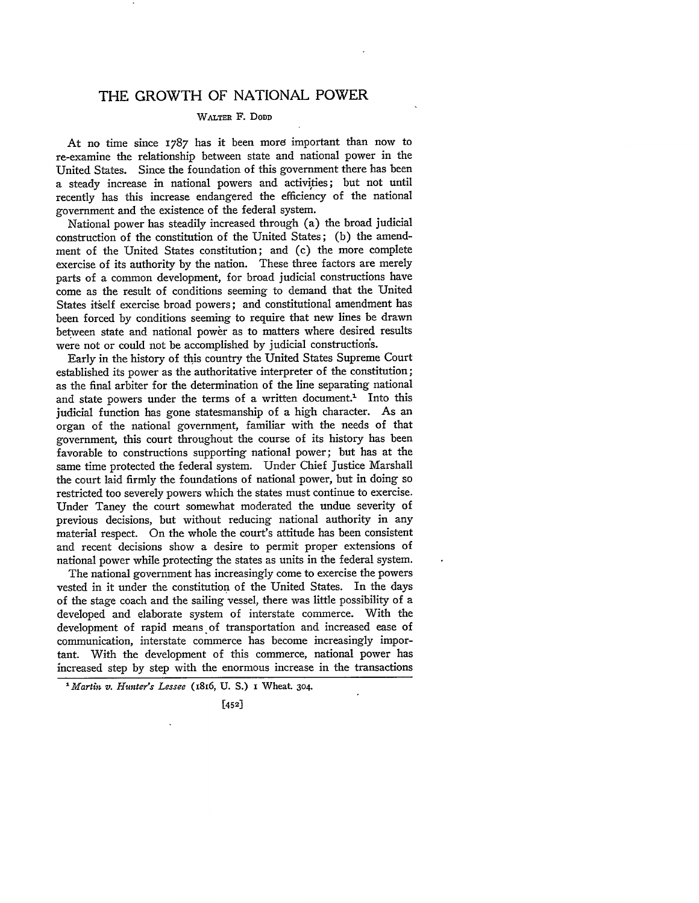## THE GROWTH OF NATIONAL POWER

## **WALTER** F. **DODD**

At no time since 1787 has it been more important than now to re-examine the relationship between state and national power in the United States. Since the foundation of this government there has been a steady increase in national powers and activities; but not until recently has this increase endangered the efficiency of the national government and the existence of the federal system.

National power has steadily increased through (a) the broad judicial construction of the constitution of the United States; (b) the amendment of the United States constitution; and (c) the more complete exercise of its authority by the nation. These three factors are merely parts of a common development, for broad judicial constructions have come as the result of conditions seeming to demand that the United States itself exercise broad powers; and constitutional amendment has been forced by conditions seeming to require that new lines be drawn between state and national power as to matters where desired results were not or could not be accomplished by judicial constructions.

Early in the history of this country the United States Supreme Court established its power as the authoritative interpreter of the constitution; as the final arbiter for the determination of the line separating national and state powers under the terms of a written document.<sup>1</sup> Into this judicial function has gone statesmanship of a high character. As an organ of the national government, familiar with the needs of that government, this court throughout the course of its history has been favorable to constructions supporting national power; but has at the same time protected the federal system. Under Chief Justice Marshall the court laid firmly the foundations of national power, but in doing so restricted too severely powers which the states must continue to exercise. Under Taney the court somewhat moderated the undue severity of previous decisions, but without reducing national authority in any material respect. On the whole the court's attitude has been consistent and recent decisions show a desire to permit proper extensions of national power while protecting the states as units in the federal system.

The national government has increasingly come to exercise the powers vested in it under the constitution of the United States. In the days of the stage coach and the sailing vessel, there was little possibility of a developed and elaborate system of interstate commerce. With the development of rapid means of transportation and increased ease of communication, interstate commerce has become increasingly important. With the development of this commerce, national power has increased step by step with the enormous increase in the transactions

*<sup>&#</sup>x27;Martin v. Hiunter's Lessee* (i816, **U. S.)** i Wheat 304.

**<sup>[452]</sup>**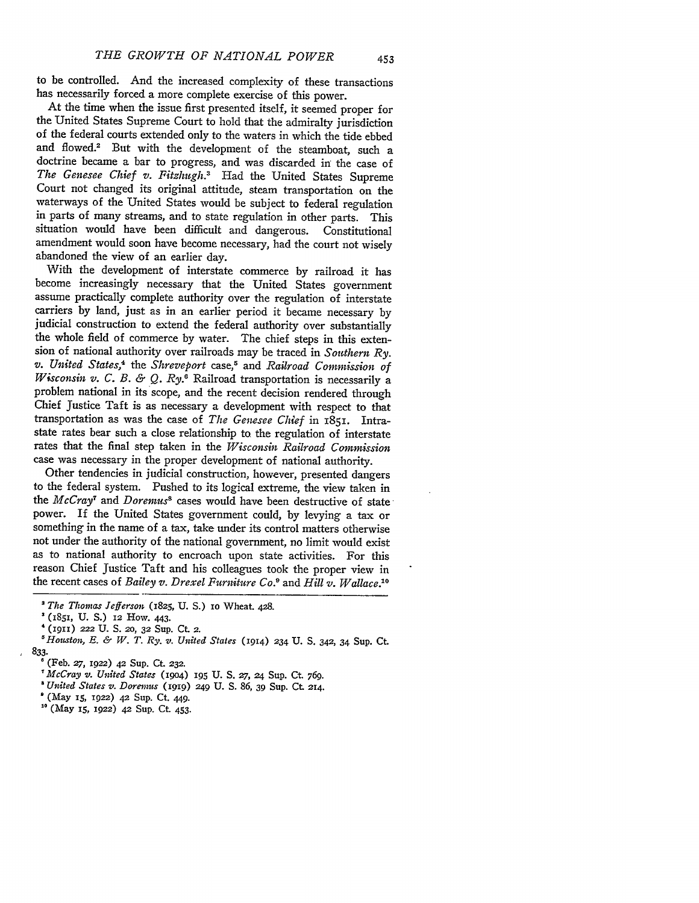453

to be controlled. And the increased complexity of these transactions has necessarily forced a more complete exercise of this power.

At the time when the issue first presented itself, it seemed proper for the United States Supreme Court to hold that the admiralty jurisdiction of the federal courts extended only to the waters in which the tide ebbed and flowed.<sup>2</sup> But with the development of the steamboat, such a doctrine became a bar to progress, and was discarded in the case of *The Genesee Chief v. Fitzhugh.3* Had the United States Supreme Court not changed its original attitude, steam transportation on the waterways of the United States would be subject to federal regulation in parts of many streams, and to state regulation in other parts. This situation would have been difficult and dangerous. Constitutional amendment would soon have become necessary, had the court not wisely abandoned the view of an earlier day.

With the development of interstate commerce by railroad it has become increasingly necessary that the United States government assume practically complete authority over the regulation of interstate carriers by land, just as in an earlier period it became necessary by judicial construction to extend the federal authority over substantially the whole field of commerce by water. The chief steps in this extension of national authority over railroads may be traced in *Southern Ry. v. United States,4* the *Shreveport* case,5 and *Railroad Commission of Wisconsin v. C. B. & Q. Ry.6* Railroad transportation is necessarily a problem national in its scope, and the recent decision rendered through Chief Justice Taft is as necessary a development with respect to that transportation as was the case of *The Genesee Chief* in 1851. Intrastate rates bear such a close relationship to the regulation of interstate rates that the final step taken in the *Wisconsin Railroad Commission* case was necessary in the proper development of national authority.

Other tendencies in judicial construction, however, presented dangers to the federal system. Pushed to its logical extreme, the view taken in the *McCray<sup>7</sup>* and *Doremus<sup>8</sup>* cases would have been destructive of state power. If the United States government could, **by** levying a tax or something in the name of a tax, take under its control matters otherwise not under the authority of the national government, no limit would exist as to national authority to encroach upon state activities. For this reason Chief Justice Taft and his colleagues took the proper view in the recent cases of *Bailey v. Drexel Furniture Co.9* and *Hill v. Wallace. °*

- *United States v. Doremus* **(1919)** 249 U. S. 86, 39 Sup. Ct 214.
- (May **15, 1922)** 42 **Sup.** Ct. 449.
- **'0** (May **15,** 1922) 42 Sup. **Ct.** 453.

*<sup>&#</sup>x27;The Thomas Jefferson* (1825, **U.** S.) io Wheat. 428.

<sup>(1851,</sup> **U. S.)** 12 How. *443.*

<sup>(911)</sup> **222 U. S. 20, 32 Sup.** Ct **2.**

*<sup>&#</sup>x27;Houston, E. & W. T. Ry. v. United States* (1914) 234 U. S. 342, 34 Sup. Ct. **833.**

<sup>&#</sup>x27;(Feb. **27, 1922)** 42 Sup. Ct. **232.**

*<sup>&</sup>quot;McCray v. United States* (1904) 195 U. **S. 27,** 24 Sup. Ct. *769.*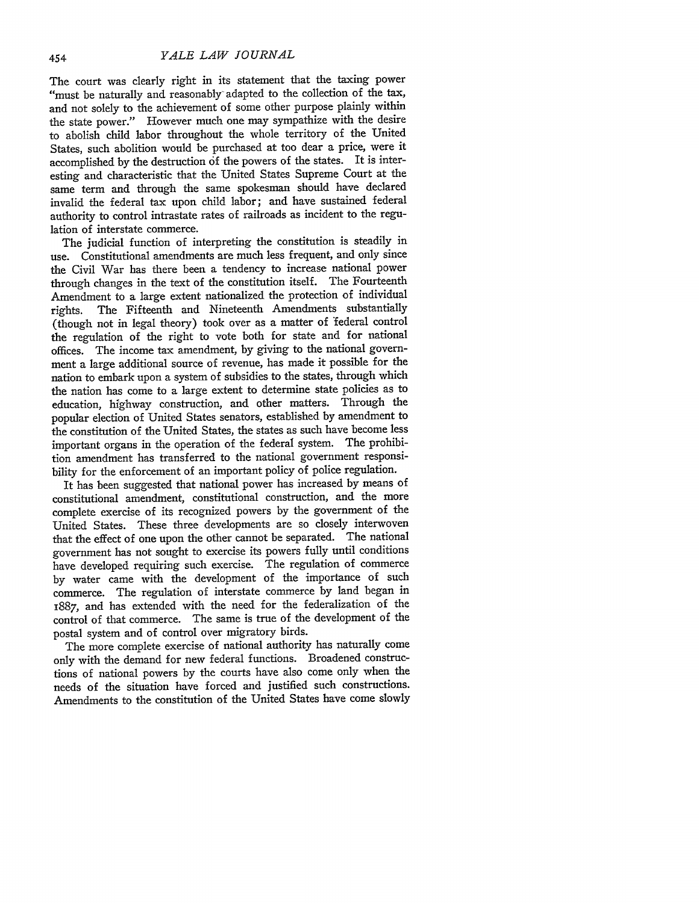The court was clearly right in its statement that the taxing power "must be naturally and reasonably adapted to the collection of the tax, and not solely to the achievement of some other purpose plainly within the state power." However much one may sympathize with the desire to abolish child labor throughout the whole territory of the United States, such abolition would be purchased at too dear a price, were it accomplished by the destruction **of** the powers of the states. It is interesting and characteristic that the United States Supreme Court at the same term and through the same spokesman should have declared invalid the federal tax upon child labor; and have sustained federal authority to control intrastate rates of railroads as incident to the regulation of interstate commerce.

The judicial function of interpreting the constitution is steadily in use. Constitutional amendments are much less frequent, and only since the Civil War has there been a tendency to increase national power through changes in the text of the constitution itself. The Fourteenth Amendment to a large extent nationalized the protection of individual rights. The Fifteenth and Nineteenth Amendments substantially (though not in legal theory) took over as a matter of 'federal control the regulation of the right to vote both for state and for national offices. The income tax amendment, by giving to the national government a large additional source of revenue, has made it possible for the nation to embark upon a system of subsidies to the states, through which the nation has come to a large extent to determine state policies as to education, highway construction, and other matters. Through the popular election of United States senators, established by amendment to the constitution of the United States, the states as such have become less important organs in the operation of the federal system. The prohibition amendment has transferred to the national government responsibility for the enforcement of an important policy of police regulation.

It has been suggested that national power has increased by means of constitutional amendment, constitutional construction, and the more complete exercise of its recognized powers by the government of the United States. These three developments are so closely interwoven that the effect of one upon the other cannot be separated. The national government has not sought to exercise its powers fully until conditions have developed requiring such exercise. The regulation of commerce by water came with the development of the importance of such commerce. The regulation of interstate commerce by land began in 1887, and has extended with the need for the federalization of the control of that commerce. The same is true of the development of the postal system and of control over migratory birds.

The more complete exercise of national authority has naturally come only with the demand for new federal functions. Broadened constructions of national powers by the courts have also come only when the needs of the situation have forced and justified such constructions. Amendments to the constitution of the United States have come slowly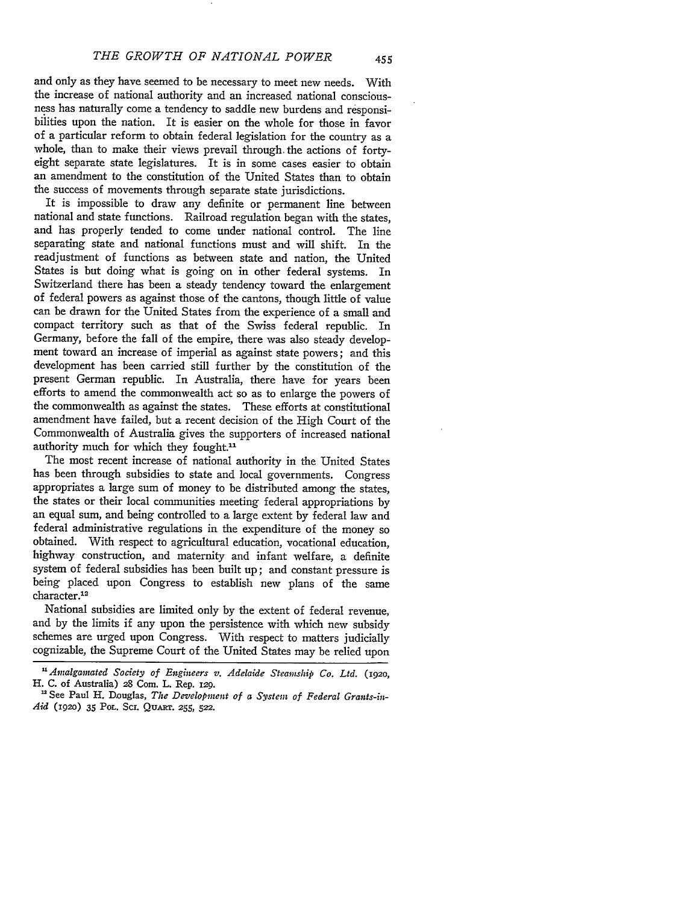and only as they have seemed to be necessary to meet new needs. With the increase of national authority and an increased national consciousness has naturally come a tendency to saddle new burdens and responsibilities upon the nation. It is easier on the whole for those in favor of a particular reform to obtain federal legislation for the country as a whole, than to make their views prevail through. the actions of fortyeight separate state legislatures. It is in some cases easier to obtain an amendment to the constitution of the United States than to obtain the success of movements through separate state jurisdictions.

It is impossible to draw any definite or permanent line between national and state functions. Railroad regulation began with the states, and has properly tended to come under national control. The line separating state and national functions must and will shift. In the readjustment of functions as between state and nation, the United States is but doing what is going on in other federal systems. In Switzerland there has been a steady tendency toward the enlargement of federal powers as against those of the cantons, though little of value can be drawn for the United States from the experience of a small and compact territory such as that of the Swiss federal republic. In Germany, before the fall of the empire, there was also steady development toward an increase of imperial as against state powers; and this development has been carried still further by the constitution of the present German republic. In Australia, there have for years been efforts to amend the commonwealth act so as to enlarge the powers of the commonwealth as against the states. These efforts at constitutional amendment have failed, but a recent decision of the High Court of the Commonwealth of Australia gives the supporters of increased national authority much for which they fought.<sup>11</sup>

The most recent increase of national authority in the United States has been through subsidies to state and local governments. Congress appropriates a large sum of money to be distributed among the states, the states or their local communities meeting federal appropriations by an equal sum, and being controlled to a large extent by federal law and federal administrative regulations in the expenditure of the money so obtained. With respect to agricultural education, vocational education, highway construction, and maternity and infant welfare, a definite system of federal subsidies has been built up; and constant pressure is being placed upon Congress to establish new plans of the same character.12

National subsidies are limited only by the extent of federal revenue, and by the limits if any upon the persistence with which new subsidy schemes are urged upon Congress. With respect to matters judicially cognizable, the Supreme Court of the United States may be relied upon

*<sup>&#</sup>x27;Amalgamated Society of Engineers v. Adelaide Steamship Co. Ltd. (1920,* H. C. of Australia) **28** Com. L. Rep. 129.

<sup>&</sup>lt;sup>12</sup> See Paul H. Douglas, *The Development of a System of Federal Grants-in-Aid* (192o) **35** POL. **ScL QUART. 255, 522.**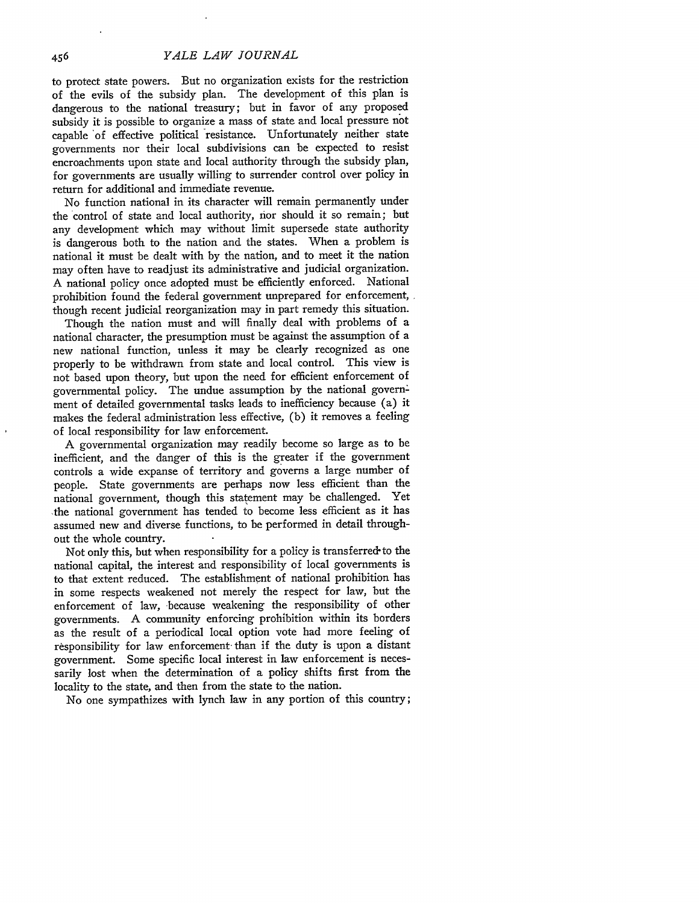to protect state powers. But no organization exists for the restriction of the evils of the subsidy plan. The development of this plan is dangerous to the national treasury; but in favor of any proposed subsidy it is possible to organize a mass of state and local pressure not capable of effective political resistance. Unfortunately neither state governments nor their local subdivisions can be expected to resist encroachments upon state and local authority through the subsidy plan, for governments are usually willing to surrender control over policy in return for additional and immediate revenue.

No function national in its character will remain permanently under the control of state and local authority, nor should it so remain; but any development which may without limit supersede state authority is dangerous both to the nation and the states. When a problem is national it must be dealt with by the nation, and to meet it the nation may often have to readjust its administrative and judicial organization. A national policy once adopted must be efficiently enforced. National prohibition found the federal government unprepared for enforcement, though recent judicial reorganization may in part remedy this situation.

Though the nation must and will finally deal with problems of a national character, the presumption must be against the assumption of a new national function, unless it may be clearly recognized as one properly to be withdrawn from state and local control. This view is not based upon theory, but upon the need for efficient enforcement of governmental policy. The undue assumption by the national govern: ment of detailed governmental tasks leads to inefficiency because (a) it makes the federal administration less effective, (b) it removes a feeling of local responsibility for law enforcement.

A governmental organization may readily become so large as to be inefficient, and the danger of this is the greater if the government controls a wide expanse of territory and governs a large number of people. State governments are perhaps now less efficient than the national government, though this statement may be challenged. Yet the national government has tended to become less efficient as it has assumed new and diverse functions, to be performed in detail throughout the whole country.

Not only this, but when responsibility for a policy is transferred- to the national capital, the interest and responsibility of local governments is to that extent reduced. The establishment of national prohibition has in some respects weakened not merely the respect for law, but the enforcement of law, because weakening the responsibility of other governments. A community enforcing prohibition within its borders as the result of a periodical local option vote had more feeling of responsibility for law enforcement- than if the duty is upon a distant government. Some specific local interest in law enforcement is necessarily lost when the determination of a policy shifts first from the locality to the state, and then from the state to the nation.

No one sympathizes with lynch law in any portion of this country;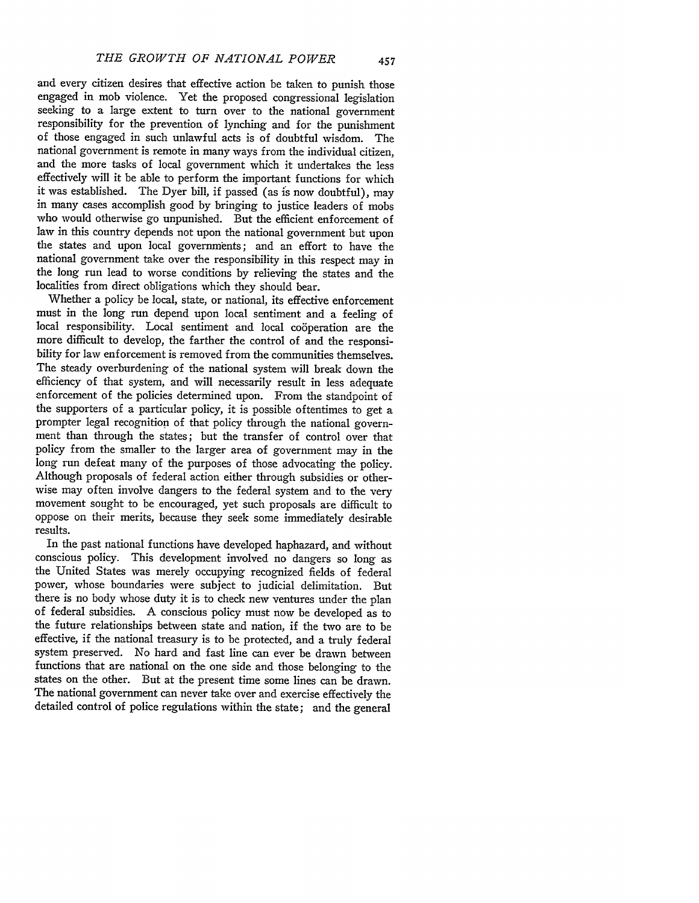457

and every citizen desires that effective action be taken to punish those engaged in mob violence. Yet the proposed congressional legislation seeking to a large extent to turn over to the national government responsibility for the prevention of lynching and for the punishment of those engaged in such unlawful acts is of doubtful wisdom. The national government is remote in many ways from the individual citizen, and the more tasks of local government which it undertakes the less effectively will it be able to perform the important functions for which it was established. The Dyer bill, if passed (as is now doubtful), may in many cases accomplish good **by** bringing to justice leaders of mobs who would otherwise go unpunished. But the efficient enforcement of law in this country depends not upon the national government but upon the states and upon local governments; and an effort to have the national government take over the responsibility in this respect may in the long run lead to worse conditions **by** relieving the states and the localities from direct obligations which they should bear.

Whether a policy be local, state, or national, its effective enforcement must in the long run depend upon local sentiment and a feeling of local responsibility. Local sentiment and local coöperation are the more difficult to develop, the farther the control of and the responsibility for law enforcement is removed from the communities themselves. The steady overburdening of the national system will break down the efficiency of that system, and will necessarily result in less adequate enforcement of the policies determined upon. From the standpoint of the supporters of a particular policy, it is possible oftentimes to get a prompter legal recognition of that policy through the national government than through the states; but the transfer of control over that policy from the smaller to the larger area of government may in the long run defeat many of the purposes of those advocating the policy. Although proposals of federal action either through subsidies or otherwise may often involve dangers to the federal system and to the very movement sought to be encouraged, yet such proposals are difficult to oppose on their merits, because they seek some immediately desirable results.

In the past national functions have developed haphazard, and without conscious policy. This development involved no dangers so long as the United States was merely occupying recognized fields of federal power, whose boundaries were subject to judicial delimitation. But there is no body whose duty it is to check new ventures under the plan of federal subsidies. A conscious policy must now be developed as to the future relationships between state and nation, if the two are to be effective, if the national treasury is to be protected, and a truly federal system preserved. No hard and fast line can ever be drawn between functions that are national on the one side and those belonging to the states on the other. But at the present time some lines can be drawn. The national government can never take over and exercise effectively the detailed control of police regulations within the state; and the general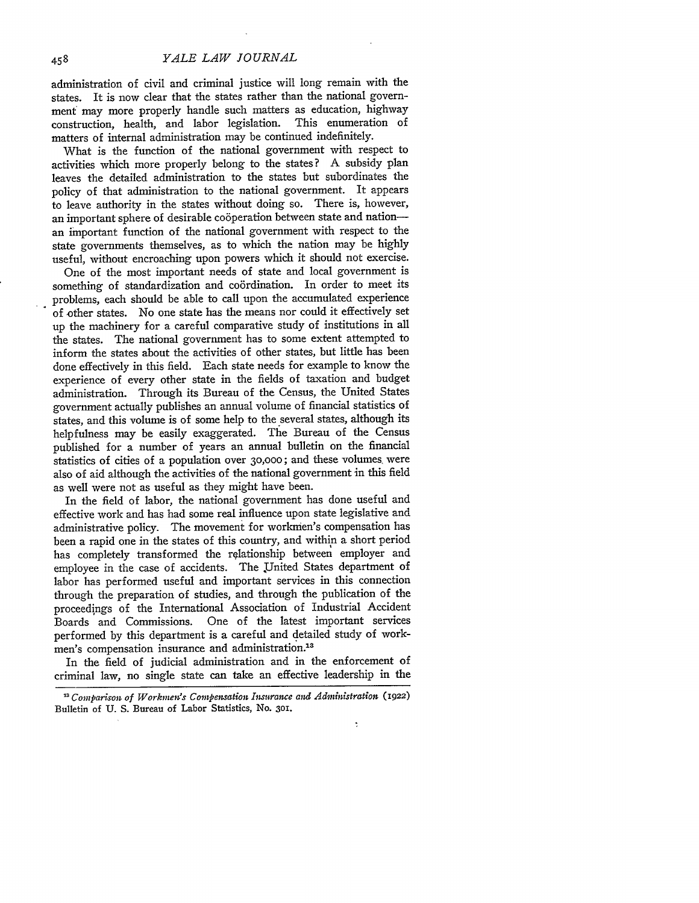administration of civil and criminal justice will long remain with the states. It is now clear that the states rather than the national government may more properly handle such matters as education, highway construction, health, and labor legislation. This enumeration of matters of internal administration may be continued indefinitely.

What is the function of the national government with respect to activities which more properly belong to the states? A subsidy plan leaves the detailed administration to the states but subordinates the policy of that administration to the national government. It appears to leave authority in the states without doing so. There is, however, an important sphere of desirable coöperation between state and nationan important function of the national government with respect to the state governments themselves, as to which the nation may be highly useful, without encroaching upon powers which it should not exercise.

One of the most important needs of state and local government is something of standardization and coördination. In order to meet its problems, each should be able to call upon the accumulated experience of other states. No one state has the means nor could it effectively set up the machinery for a careful comparative study of institutions in all the states. The national government has to some extent attempted to inform the states about the activities of other states, but little has been done effectively in this field. Each state needs for example to know the experience of every other state in the fields of taxation and budget administration. Through its Bureau of the Census, the United States government actually publishes an annual volume of financial statistics of states, and this volume is of some help to the several states, although its helpfulness may be easily exaggerated. The Bureau of the Census published for a number of years an annual bulletin on the financial statistics of cities of a population over **30,000;** and these volumes were also of aid although the activities of the national government in this field as well were not as useful as they might have been.

In the field of labor, the national government has done useful and effective work and has had some real influence upon state legislative and administrative policy. The movement for workmen's compensation has been a rapid one in the states of this country, and within a short period has completely transformed the relationship between employer and employee in the case of accidents. The United States department of labor has performed useful and important services in this connection through the preparation of studies, and through the publication of the proceedings of the International Association of Industrial Accident Boards and Commissions. One of the latest important services performed by this department is a careful and detailed study of workmen's compensation insurance and administration.<sup>13</sup>

In the field of judicial administration and in the enforcement of criminal law, no single state can take an effective leadership in the

 $\overline{\phantom{a}}$ 

*<sup>13</sup>Comparison of Workmen's Compensation Insurance and Administration* (1922) Bulletin of **U.** S. Bureau of Labor Statistics, No. 3Ol.